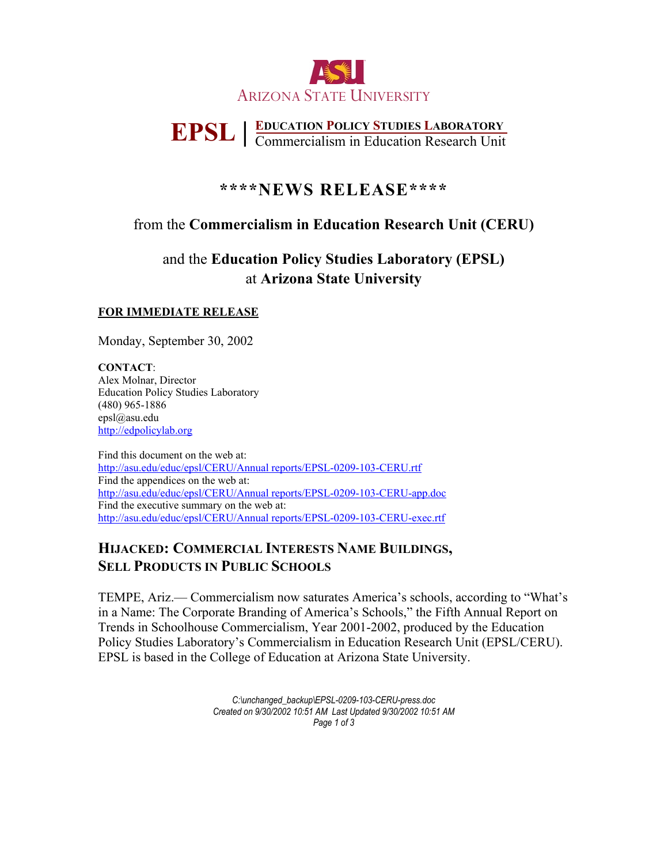

# **EPSL | EDUCATION POLICY STUDIES LABORATORY** Commercialism in Education Research Unit

# **\*\*\*\*NEWS RELEASE\*\*\*\***

## from the **Commercialism in Education Research Unit (CERU)**

# and the **Education Policy Studies Laboratory (EPSL)**  at **Arizona State University**

#### **FOR IMMEDIATE RELEASE**

Monday, September 30, 2002

**CONTACT**: Alex Molnar, Director Education Policy Studies Laboratory (480) 965-1886 epsl@asu.edu [http://edpolicylab.org](http://edpolicylab.org/)

Find this document on the web at: <http://asu.edu/educ/epsl/CERU/Annual reports/EPSL-0209-103-CERU.rtf> Find the appendices on the web at: <http://asu.edu/educ/epsl/CERU/Annual reports/EPSL-0209-103-CERU-app.doc> Find the executive summary on the web at: <http://asu.edu/educ/epsl/CERU/Annual reports/EPSL-0209-103-CERU-exec.rtf>

## **HIJACKED: COMMERCIAL INTERESTS NAME BUILDINGS, SELL PRODUCTS IN PUBLIC SCHOOLS**

TEMPE, Ariz.— Commercialism now saturates America's schools, according to "What's in a Name: The Corporate Branding of America's Schools," the Fifth Annual Report on Trends in Schoolhouse Commercialism, Year 2001-2002, produced by the Education Policy Studies Laboratory's Commercialism in Education Research Unit (EPSL/CERU). EPSL is based in the College of Education at Arizona State University.

> *C:\unchanged\_backup\EPSL-0209-103-CERU-press.doc Created on 9/30/2002 10:51 AM Last Updated 9/30/2002 10:51 AM Page 1 of 3*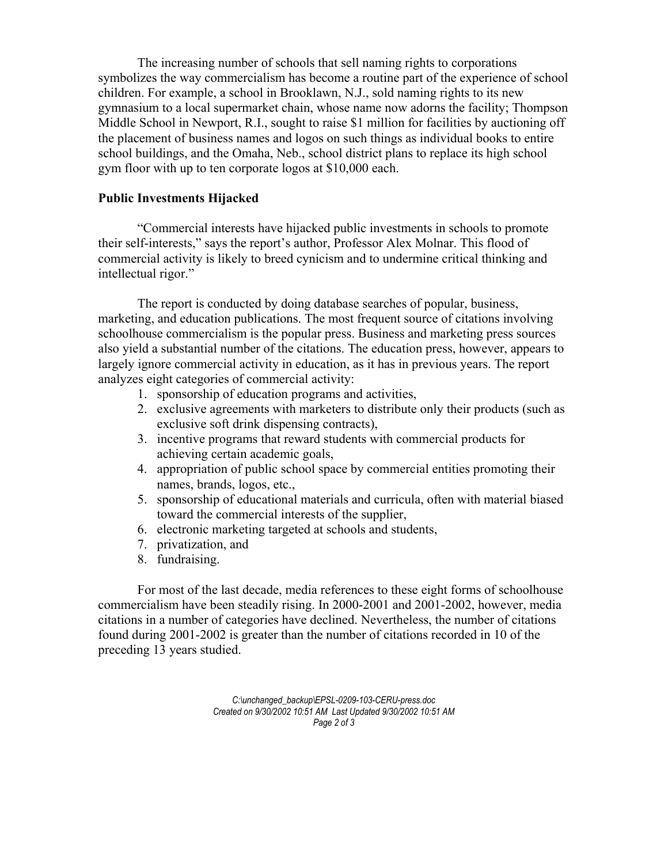The increasing number of schools that sell naming rights to corporations symbolizes the way commercialism has become a routine part of the experience of school children. For example, a school in Brooklawn, N.J., sold naming rights to its new gymnasium to a local supermarket chain, whose name now adorns the facility; Thompson Middle School in Newport, R.I., sought to raise \$1 million for facilities by auctioning off the placement of business names and logos on such things as individual books to entire school buildings, and the Omaha, Neb., school district plans to replace its high school gym floor with up to ten corporate logos at \$10,000 each.

#### **Public Investments Hijacked**

 "Commercial interests have hijacked public investments in schools to promote their self-interests," says the report's author, Professor Alex Molnar. This flood of commercial activity is likely to breed cynicism and to undermine critical thinking and intellectual rigor."

 The report is conducted by doing database searches of popular, business, marketing, and education publications. The most frequent source of citations involving schoolhouse commercialism is the popular press. Business and marketing press sources also yield a substantial number of the citations. The education press, however, appears to largely ignore commercial activity in education, as it has in previous years. The report analyzes eight categories of commercial activity:

- 1. sponsorship of education programs and activities,
- 2. exclusive agreements with marketers to distribute only their products (such as exclusive soft drink dispensing contracts),
- 3. incentive programs that reward students with commercial products for achieving certain academic goals,
- 4. appropriation of public school space by commercial entities promoting their names, brands, logos, etc.,
- 5. sponsorship of educational materials and curricula, often with material biased toward the commercial interests of the supplier,
- 6. electronic marketing targeted at schools and students,
- 7. privatization, and
- 8. fundraising.

For most of the last decade, media references to these eight forms of schoolhouse commercialism have been steadily rising. In 2000-2001 and 2001-2002, however, media citations in a number of categories have declined. Nevertheless, the number of citations found during 2001-2002 is greater than the number of citations recorded in 10 of the preceding 13 years studied.

> *C:\unchanged\_backup\EPSL-0209-103-CERU-press.doc Created on 9/30/2002 10:51 AM Last Updated 9/30/2002 10:51 AM Page 2 of 3*